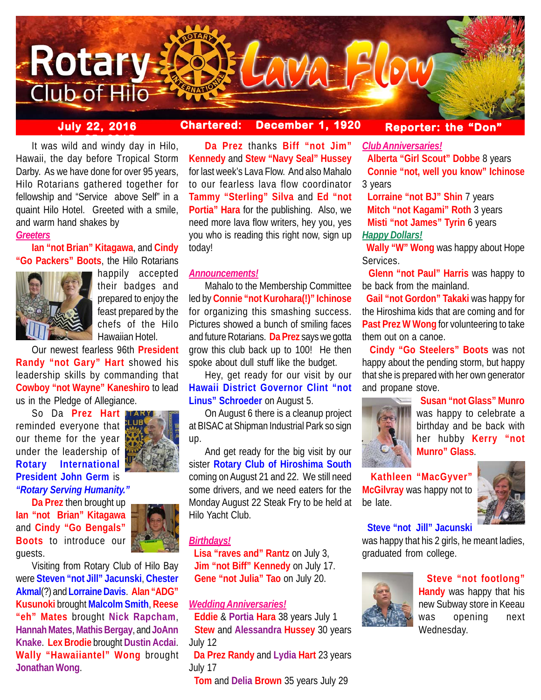

**July 22, 2016 Chartered: December 1, 1920**

**Reporter: the "Don"**

It was wild and windy day in Hilo, Hawaii, the day before Tropical Storm Darby. As we have done for over 95 years, Hilo Rotarians gathered together for fellowship and "Service above Self" in a quaint Hilo Hotel. Greeted with a smile, and warm hand shakes by

# *Greeters*

**Ian "not Brian" Kitagawa**, and **Cindy "Go Packers" Boots**, the Hilo Rotarians



happily accepted their badges and prepared to enjoy the feast prepared by the chefs of the Hilo Hawaiian Hotel.

Our newest fearless 96th **President Randy "not Gary" Hart** showed his leadership skills by commanding that **Cowboy "not Wayne" Kaneshiro** to lead us in the Pledge of Allegiance.

So Da **Prez Hart** reminded everyone that our theme for the year under the leadership of **Rotary International President John Germ** is *"Rotary Serving Humanity."*



**Da Prez** then brought up **Ian "not Brian" Kitagawa** and **Cindy "Go Bengals" Boots** to introduce our guests.

Visiting from Rotary Club of Hilo Bay were **Steven "not Jill" Jacunski**, **Chester Akmal**(?) and **Lorraine Davis**. **Alan "ADG" Kusunoki** brought **Malcolm Smith**, **Reese "eh" Mates** brought **Nick Rapcham**, **Hannah Mates**, **Mathis Bergay**, and **JoAnn Knake**. **Lex Brodie** brought **Dustin Acdai**. **Wally "Hawaiiantel" Wong** brought **Jonathan Wong**.

**Da Prez** thanks **Biff "not Jim" Kennedy** and **Stew "Navy Seal" Hussey** for last week's Lava Flow. And also Mahalo to our fearless lava flow coordinator **Tammy "Sterling" Silva** and **Ed "not Portia" Hara** for the publishing. Also, we need more lava flow writers, hey you, yes you who is reading this right now, sign up today!

# *Announcements!*

Mahalo to the Membership Committee led by **Connie "not Kurohara(!)" Ichinose** for organizing this smashing success. Pictures showed a bunch of smiling faces and future Rotarians. **Da Prez** says we gotta grow this club back up to 100! He then spoke about dull stuff like the budget.

Hey, get ready for our visit by our **Hawaii District Governor Clint "not Linus" Schroeder** on August 5.

On August 6 there is a cleanup project at BISAC at Shipman Industrial Park so sign up.

And get ready for the big visit by our sister **Rotary Club of Hiroshima South** coming on August 21 and 22. We still need some drivers, and we need eaters for the Monday August 22 Steak Fry to be held at Hilo Yacht Club.

# *Birthdays!*

 **Lisa "raves and" Rantz** on July 3, **Jim "not Biff" Kennedy** on July 17. **Gene "not Julia" Tao** on July 20.

# *Wedding Anniversaries!*

 **Eddie** & **Portia Hara** 38 years July 1 **Stew** and **Alessandra Hussey** 30 years July 12

 **Da Prez Randy** and **Lydia Hart** 23 years July 17

**Tom** and **Delia Brown** 35 years July 29

*Club Anniversaries!*

 **Alberta "Girl Scout" Dobbe** 8 years **Connie "not, well you know" Ichinose** 3 years

 **Lorraine "not BJ" Shin** 7 years **Mitch "not Kagami" Roth** 3 years  **Misti "not James" Tyrin** 6 years *Happy Dollars!*

 **Wally "W" Wong** was happy about Hope Services.

 **Glenn "not Paul" Harris** was happy to be back from the mainland.

 **Gail "not Gordon" Takaki** was happy for the Hiroshima kids that are coming and for **Past Prez W Wong** for volunteering to take them out on a canoe.

 **Cindy "Go Steelers" Boots** was not happy about the pending storm, but happy that she is prepared with her own generator and propane stove.



 **Susan "not Glass" Munro** was happy to celebrate a birthday and be back with her hubby **Kerry "not Munro" Glass**.

 **Kathleen "MacGyver" McGilvray** was happy not to be late.



# **Steve "not Jill" Jacunski**

was happy that his 2 girls, he meant ladies, graduated from college.



 **Steve "not footlong" Handy** was happy that his new Subway store in Keeau was opening next Wednesday.